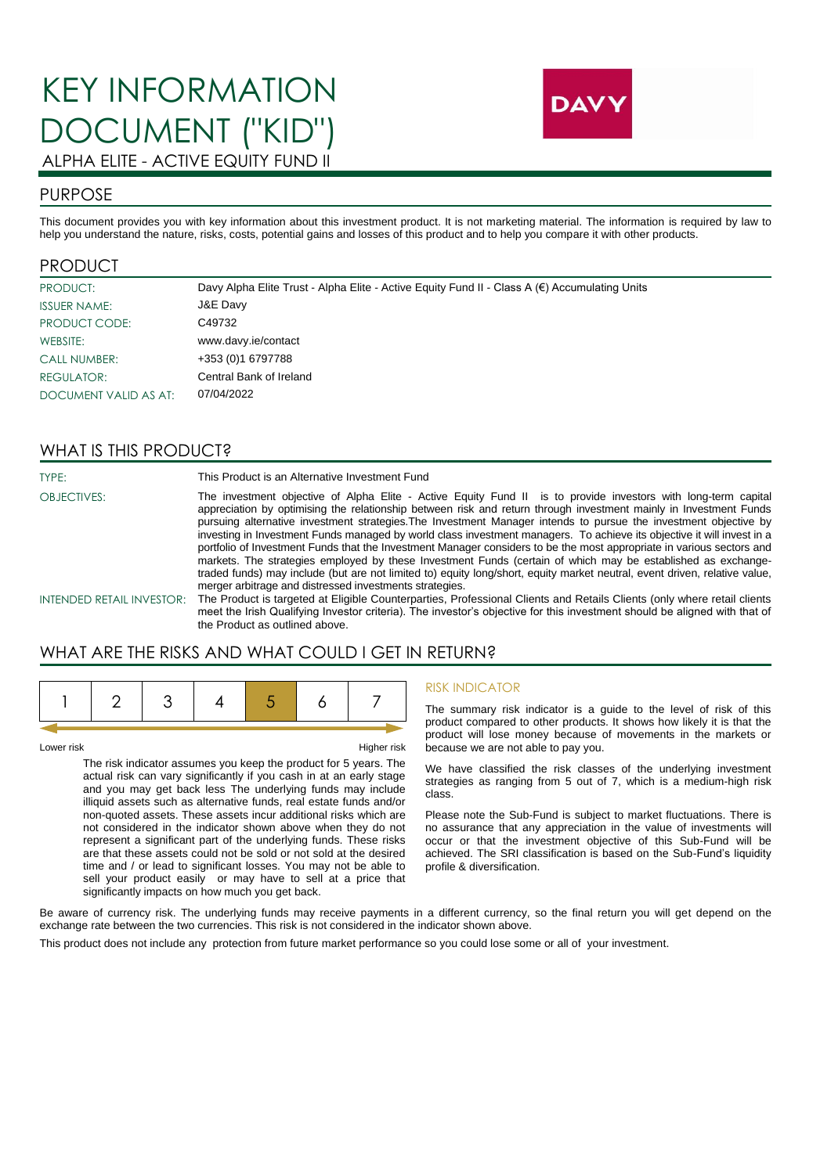# KEY INFORMATION DOCUMENT ("KID") ALPHA ELITE - ACTIVE EQUITY FUND II



## PURPOSE

This document provides you with key information about this investment product. It is not marketing material. The information is required by law to help you understand the nature, risks, costs, potential gains and losses of this product and to help you compare it with other products.

#### PRODUCT

| PRODUCT:              | Davy Alpha Elite Trust - Alpha Elite - Active Equity Fund II - Class A $(\epsilon)$ Accumulating Units |
|-----------------------|--------------------------------------------------------------------------------------------------------|
| <b>ISSUER NAME:</b>   | J&E Davy                                                                                               |
| PRODUCT CODE:         | C49732                                                                                                 |
| WEBSITE:              | www.davy.ie/contact                                                                                    |
| <b>CALL NUMBER:</b>   | +353 (0) 1 6797788                                                                                     |
| REGULATOR:            | Central Bank of Ireland                                                                                |
| DOCUMENT VALID AS AT: | 07/04/2022                                                                                             |

#### WHAT IS THIS PRODUCT?

TYPE: TYPE: This Product is an Alternative Investment Fund

OBJECTIVES: The investment objective of Alpha Elite - Active Equity Fund II is to provide investors with long-term capital appreciation by optimising the relationship between risk and return through investment mainly in Investment Funds pursuing alternative investment strategies.The Investment Manager intends to pursue the investment objective by investing in Investment Funds managed by world class investment managers. To achieve its objective it will invest in a portfolio of Investment Funds that the Investment Manager considers to be the most appropriate in various sectors and markets. The strategies employed by these Investment Funds (certain of which may be established as exchangetraded funds) may include (but are not limited to) equity long/short, equity market neutral, event driven, relative value, merger arbitrage and distressed investments strategies.

INTENDED RETAIL INVESTOR: The Product is targeted at Eligible Counterparties, Professional Clients and Retails Clients (only where retail clients meet the Irish Qualifying Investor criteria). The investor's objective for this investment should be aligned with that of the Product as outlined above.

## WHAT ARE THE RISKS AND WHAT COULD I GET IN RETURN?

Lower risk Higher risk

The risk indicator assumes you keep the product for 5 years. The actual risk can vary significantly if you cash in at an early stage and you may get back less The underlying funds may include illiquid assets such as alternative funds, real estate funds and/or non-quoted assets. These assets incur additional risks which are not considered in the indicator shown above when they do not represent a significant part of the underlying funds. These risks are that these assets could not be sold or not sold at the desired time and / or lead to significant losses. You may not be able to sell your product easily or may have to sell at a price that significantly impacts on how much you get back.

#### RISK INDICATOR

The summary risk indicator is a guide to the level of risk of this product compared to other products. It shows how likely it is that the product will lose money because of movements in the markets or because we are not able to pay you.

We have classified the risk classes of the underlying investment strategies as ranging from 5 out of 7, which is a medium-high risk class.

Please note the Sub-Fund is subject to market fluctuations. There is no assurance that any appreciation in the value of investments will occur or that the investment objective of this Sub-Fund will be achieved. The SRI classification is based on the Sub-Fund's liquidity profile & diversification.

Be aware of currency risk. The underlying funds may receive payments in a different currency, so the final return you will get depend on the exchange rate between the two currencies. This risk is not considered in the indicator shown above.

This product does not include any protection from future market performance so you could lose some or all of your investment.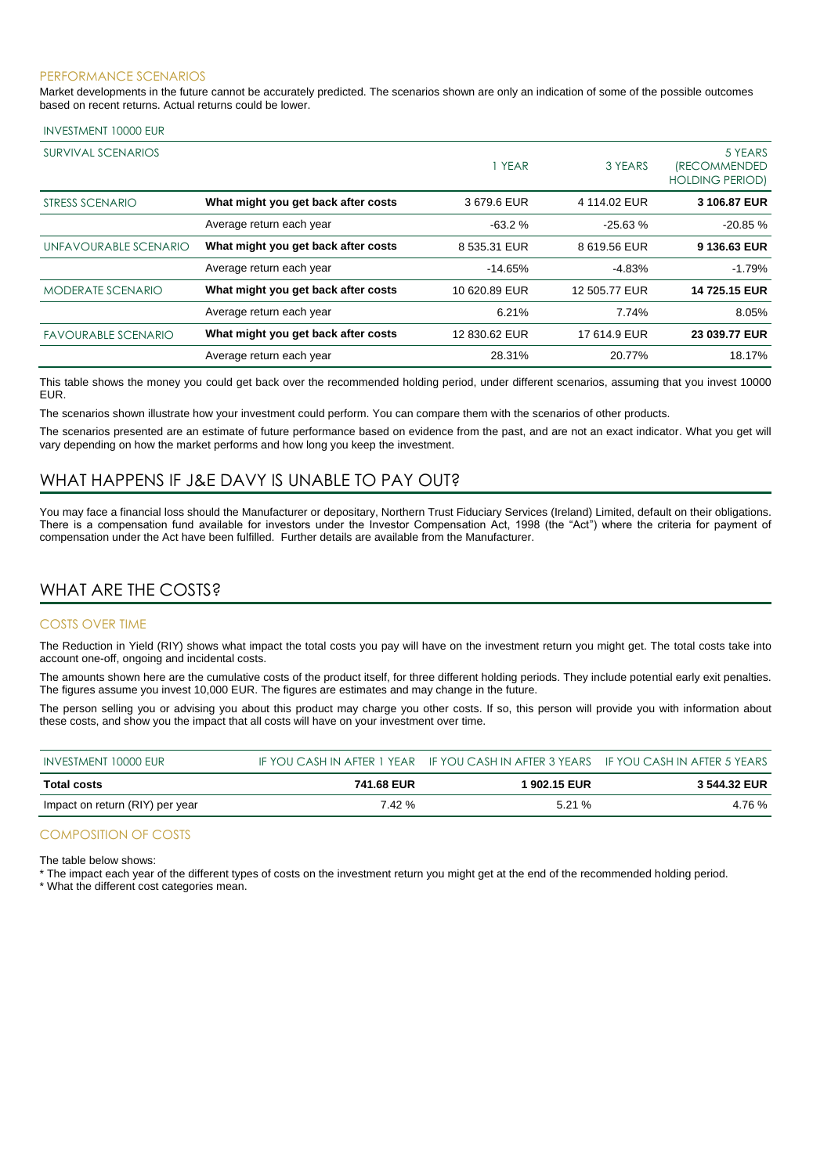#### PERFORMANCE SCENARIOS

Market developments in the future cannot be accurately predicted. The scenarios shown are only an indication of some of the possible outcomes based on recent returns. Actual returns could be lower.

#### INVESTMENT 10000 EUR

| SURVIVAL SCENARIOS         |                                     | 1 YEAR        | 3 YEARS       | 5 YEARS<br><i><b>IRECOMMENDED</b></i><br><b>HOLDING PERIOD)</b> |
|----------------------------|-------------------------------------|---------------|---------------|-----------------------------------------------------------------|
| STRESS SCENARIO            | What might you get back after costs | 3679.6 EUR    | 4 114.02 EUR  | 3 106,87 EUR                                                    |
|                            | Average return each year            | $-63.2%$      | $-25.63%$     | $-20.85%$                                                       |
| UNFAVOURABLE SCENARIO      | What might you get back after costs | 8 535.31 EUR  | 8 619.56 EUR  | 9 136.63 EUR                                                    |
|                            | Average return each year            | $-14.65%$     | $-4.83%$      | $-1.79%$                                                        |
| <b>MODERATE SCENARIO</b>   | What might you get back after costs | 10 620.89 EUR | 12 505.77 EUR | 14 725.15 EUR                                                   |
|                            | Average return each year            | 6.21%         | 7.74%         | 8.05%                                                           |
| <b>FAVOURABLE SCENARIO</b> | What might you get back after costs | 12 830.62 EUR | 17 614.9 EUR  | 23 039.77 EUR                                                   |
|                            | Average return each year            | 28.31%        | 20.77%        | 18.17%                                                          |

This table shows the money you could get back over the recommended holding period, under different scenarios, assuming that you invest 10000 EUR.

The scenarios shown illustrate how your investment could perform. You can compare them with the scenarios of other products.

The scenarios presented are an estimate of future performance based on evidence from the past, and are not an exact indicator. What you get will vary depending on how the market performs and how long you keep the investment.

### WHAT HAPPENS IF J&E DAVY IS UNABLE TO PAY OUT?

You may face a financial loss should the Manufacturer or depositary, Northern Trust Fiduciary Services (Ireland) Limited, default on their obligations. There is a compensation fund available for investors under the Investor Compensation Act, 1998 (the "Act") where the criteria for payment of compensation under the Act have been fulfilled. Further details are available from the Manufacturer.

## WHAT ARE THE COSTS?

#### COSTS OVER TIME

The Reduction in Yield (RIY) shows what impact the total costs you pay will have on the investment return you might get. The total costs take into account one-off, ongoing and incidental costs.

The amounts shown here are the cumulative costs of the product itself, for three different holding periods. They include potential early exit penalties. The figures assume you invest 10,000 EUR. The figures are estimates and may change in the future.

The person selling you or advising you about this product may charge you other costs. If so, this person will provide you with information about these costs, and show you the impact that all costs will have on your investment over time.

| INVESTMENT 10000 EUR            |            | IF YOU CASH IN AFTER 1 YEAR IF YOU CASH IN AFTER 3 YEARS IF YOU CASH IN AFTER 5 YEARS |              |
|---------------------------------|------------|---------------------------------------------------------------------------------------|--------------|
| Total costs                     | 741.68 EUR | 1902.15 EUR                                                                           | 3 544.32 EUR |
| Impact on return (RIY) per year | 7.42 %     | 5.21%                                                                                 | 4.76 %       |

#### COMPOSITION OF COSTS

The table below shows:

\* The impact each year of the different types of costs on the investment return you might get at the end of the recommended holding period.

\* What the different cost categories mean.